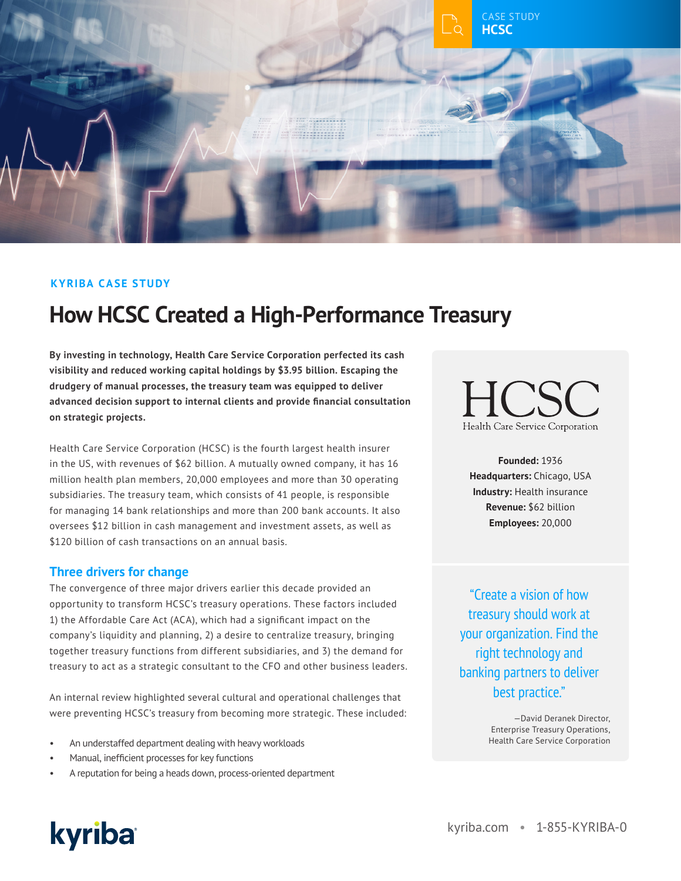

## **KYRIBA CASE STUDY**

# **How HCSC Created a High-Performance Treasury**

**By investing in technology, Health Care Service Corporation perfected its cash visibility and reduced working capital holdings by \$3.95 billion. Escaping the drudgery of manual processes, the treasury team was equipped to deliver advanced decision support to internal clients and provide financial consultation on strategic projects.**

Health Care Service Corporation (HCSC) is the fourth largest health insurer in the US, with revenues of \$62 billion. A mutually owned company, it has 16 million health plan members, 20,000 employees and more than 30 operating subsidiaries. The treasury team, which consists of 41 people, is responsible for managing 14 bank relationships and more than 200 bank accounts. It also oversees \$12 billion in cash management and investment assets, as well as \$120 billion of cash transactions on an annual basis.

#### **Three drivers for change**

The convergence of three major drivers earlier this decade provided an opportunity to transform HCSC's treasury operations. These factors included 1) the Affordable Care Act (ACA), which had a significant impact on the company's liquidity and planning, 2) a desire to centralize treasury, bringing together treasury functions from different subsidiaries, and 3) the demand for treasury to act as a strategic consultant to the CFO and other business leaders.

An internal review highlighted several cultural and operational challenges that were preventing HCSC's treasury from becoming more strategic. These included:

- An understaffed department dealing with heavy workloads
- Manual, inefficient processes for key functions
- A reputation for being a heads down, process-oriented department

 $\pm$  (  $\lambda$ Health Care Service Corporation

**Founded:** 1936 **Headquarters:** Chicago, USA **Industry:** Health insurance **Revenue:** \$62 billion **Employees:** 20,000

"Create a vision of how treasury should work at your organization. Find the right technology and banking partners to deliver best practice."

> —David Deranek Director, Enterprise Treasury Operations, Health Care Service Corporation